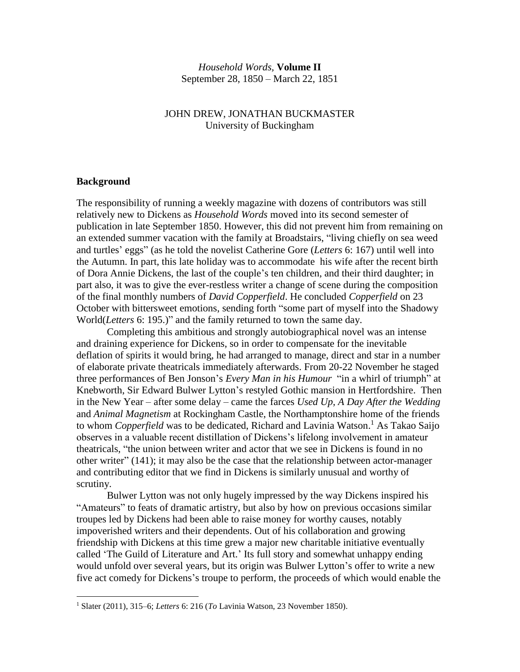# *Household Words,* **Volume II** September 28, 1850 – March 22, 1851

# JOHN DREW, JONATHAN BUCKMASTER University of Buckingham

#### **Background**

 $\overline{a}$ 

The responsibility of running a weekly magazine with dozens of contributors was still relatively new to Dickens as *Household Words* moved into its second semester of publication in late September 1850. However, this did not prevent him from remaining on an extended summer vacation with the family at Broadstairs, "living chiefly on sea weed and turtles' eggs" (as he told the novelist Catherine Gore (*Letters* 6: 167) until well into the Autumn. In part, this late holiday was to accommodate his wife after the recent birth of Dora Annie Dickens, the last of the couple's ten children, and their third daughter; in part also, it was to give the ever-restless writer a change of scene during the composition of the final monthly numbers of *David Copperfield*. He concluded *Copperfield* on 23 October with bittersweet emotions, sending forth "some part of myself into the Shadowy World(*Letters* 6: 195.)" and the family returned to town the same day.

Completing this ambitious and strongly autobiographical novel was an intense and draining experience for Dickens, so in order to compensate for the inevitable deflation of spirits it would bring, he had arranged to manage, direct and star in a number of elaborate private theatricals immediately afterwards. From 20-22 November he staged three performances of Ben Jonson's *Every Man in his Humour* "in a whirl of triumph" at Knebworth, Sir Edward Bulwer Lytton's restyled Gothic mansion in Hertfordshire. Then in the New Year – after some delay – came the farces *Used Up, A Day After the Wedding* and *Animal Magnetism* at Rockingham Castle, the Northamptonshire home of the friends to whom *Copperfield* was to be dedicated, Richard and Lavinia Watson. <sup>1</sup> As Takao Saijo observes in a valuable recent distillation of Dickens's lifelong involvement in amateur theatricals, "the union between writer and actor that we see in Dickens is found in no other writer" (141); it may also be the case that the relationship between actor-manager and contributing editor that we find in Dickens is similarly unusual and worthy of scrutiny.

Bulwer Lytton was not only hugely impressed by the way Dickens inspired his "Amateurs" to feats of dramatic artistry, but also by how on previous occasions similar troupes led by Dickens had been able to raise money for worthy causes, notably impoverished writers and their dependents. Out of his collaboration and growing friendship with Dickens at this time grew a major new charitable initiative eventually called 'The Guild of Literature and Art.' Its full story and somewhat unhappy ending would unfold over several years, but its origin was Bulwer Lytton's offer to write a new five act comedy for Dickens's troupe to perform, the proceeds of which would enable the

<sup>1</sup> Slater (2011), 315–6; *Letters* 6: 216 (*To* Lavinia Watson, 23 November 1850).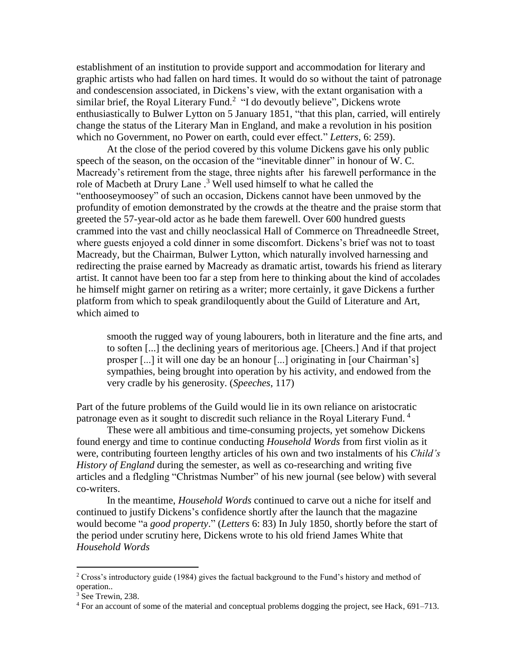establishment of an institution to provide support and accommodation for literary and graphic artists who had fallen on hard times. It would do so without the taint of patronage and condescension associated, in Dickens's view, with the extant organisation with a similar brief, the Royal Literary Fund. $2$  "I do devoutly believe", Dickens wrote enthusiastically to Bulwer Lytton on 5 January 1851, "that this plan, carried, will entirely change the status of the Literary Man in England, and make a revolution in his position which no Government, no Power on earth, could ever effect." *Letters*, 6: 259).

At the close of the period covered by this volume Dickens gave his only public speech of the season, on the occasion of the "inevitable dinner" in honour of W. C. Macready's retirement from the stage, three nights after his farewell performance in the role of Macbeth at Drury Lane .<sup>3</sup> Well used himself to what he called the "enthooseymoosey" of such an occasion, Dickens cannot have been unmoved by the profundity of emotion demonstrated by the crowds at the theatre and the praise storm that greeted the 57-year-old actor as he bade them farewell. Over 600 hundred guests crammed into the vast and chilly neoclassical Hall of Commerce on Threadneedle Street, where guests enjoyed a cold dinner in some discomfort. Dickens's brief was not to toast Macready, but the Chairman, Bulwer Lytton, which naturally involved harnessing and redirecting the praise earned by Macready as dramatic artist, towards his friend as literary artist. It cannot have been too far a step from here to thinking about the kind of accolades he himself might garner on retiring as a writer; more certainly, it gave Dickens a further platform from which to speak grandiloquently about the Guild of Literature and Art, which aimed to

smooth the rugged way of young labourers, both in literature and the fine arts, and to soften [...] the declining years of meritorious age. [Cheers.] And if that project prosper [...] it will one day be an honour [...] originating in [our Chairman's] sympathies, being brought into operation by his activity, and endowed from the very cradle by his generosity. (*Speeches*, 117)

Part of the future problems of the Guild would lie in its own reliance on aristocratic patronage even as it sought to discredit such reliance in the Royal Literary Fund. <sup>4</sup>

These were all ambitious and time-consuming projects, yet somehow Dickens found energy and time to continue conducting *Household Words* from first violin as it were, contributing fourteen lengthy articles of his own and two instalments of his *Child's History of England* during the semester, as well as co-researching and writing five articles and a fledgling "Christmas Number" of his new journal (see below) with several co-writers.

In the meantime, *Household Words* continued to carve out a niche for itself and continued to justify Dickens's confidence shortly after the launch that the magazine would become "a *good property*." (*Letters* 6: 83) In July 1850, shortly before the start of the period under scrutiny here, Dickens wrote to his old friend James White that *Household Words*

 $2$  Cross's introductory guide (1984) gives the factual background to the Fund's history and method of operation..

<sup>&</sup>lt;sup>3</sup> See Trewin, 238.

<sup>4</sup> For an account of some of the material and conceptual problems dogging the project, see Hack, 691–713.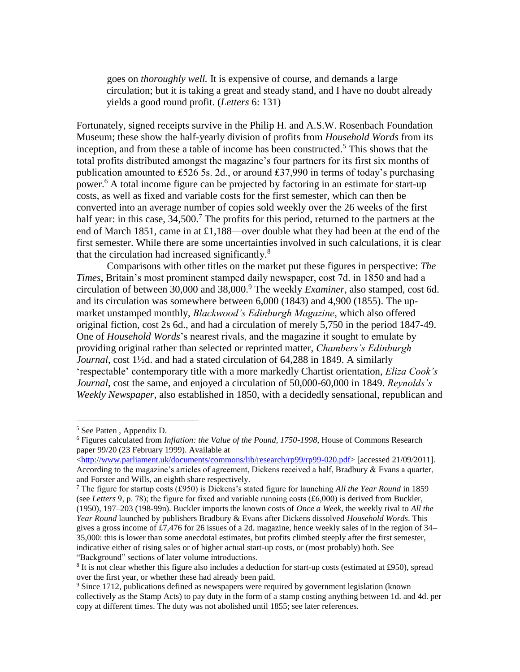goes on *thoroughly well.* It is expensive of course, and demands a large circulation; but it is taking a great and steady stand, and I have no doubt already yields a good round profit. (*Letters* 6: 131)

Fortunately, signed receipts survive in the Philip H. and A.S.W. Rosenbach Foundation Museum; these show the half-yearly division of profits from *Household Words* from its inception, and from these a table of income has been constructed.<sup>5</sup> This shows that the total profits distributed amongst the magazine's four partners for its first six months of publication amounted to £526 5s. 2d., or around £37,990 in terms of today's purchasing power.<sup>6</sup> A total income figure can be projected by factoring in an estimate for start-up costs, as well as fixed and variable costs for the first semester, which can then be converted into an average number of copies sold weekly over the 26 weeks of the first half year: in this case,  $34,500$ .<sup>7</sup> The profits for this period, returned to the partners at the end of March 1851, came in at £1,188—over double what they had been at the end of the first semester. While there are some uncertainties involved in such calculations, it is clear that the circulation had increased significantly.<sup>8</sup>

Comparisons with other titles on the market put these figures in perspective: *The Times*, Britain's most prominent stamped daily newspaper, cost 7d. in 1850 and had a circulation of between 30,000 and 38,000.<sup>9</sup> The weekly *Examiner*, also stamped, cost 6d. and its circulation was somewhere between 6,000 (1843) and 4,900 (1855). The upmarket unstamped monthly, *Blackwood's Edinburgh Magazine*, which also offered original fiction, cost 2s 6d., and had a circulation of merely 5,750 in the period 1847-49. One of *Household Words*'s nearest rivals, and the magazine it sought to emulate by providing original rather than selected or reprinted matter, *Chambers's Edinburgh Journal*, cost 1½d. and had a stated circulation of 64,288 in 1849. A similarly 'respectable' contemporary title with a more markedly Chartist orientation, *Eliza Cook's Journal*, cost the same, and enjoyed a circulation of 50,000-60,000 in 1849. *Reynolds's Weekly Newspaper*, also established in 1850, with a decidedly sensational, republican and

<sup>5</sup> See Patten , Appendix D.

<sup>6</sup> Figures calculated from *Inflation: the Value of the Pound, 1750-1998*, House of Commons Research paper 99/20 (23 February 1999). Available at

[<sup>&</sup>lt;http://www.parliament.uk/documents/commons/lib/research/rp99/rp99-020.pdf>](http://www.parliament.uk/documents/commons/lib/research/rp99/rp99-020.pdf) [accessed 21/09/2011]. According to the magazine's articles of agreement, Dickens received a half, Bradbury & Evans a quarter, and Forster and Wills, an eighth share respectively.

<sup>7</sup> The figure for startup costs (₤950) is Dickens's stated figure for launching *All the Year Round* in 1859 (see *Letters* 9, p. 78); the figure for fixed and variable running costs (₤6,000) is derived from Buckler, (1950), 197–203 (198-99n). Buckler imports the known costs of *Once a Week*, the weekly rival to *All the Year Round* launched by publishers Bradbury & Evans after Dickens dissolved *Household Words*. This gives a gross income of  $£7,476$  for 26 issues of a 2d. magazine, hence weekly sales of in the region of  $34-$ 35,000: this is lower than some anecdotal estimates, but profits climbed steeply after the first semester, indicative either of rising sales or of higher actual start-up costs, or (most probably) both. See "Background" sections of later volume introductions.

<sup>&</sup>lt;sup>8</sup> It is not clear whether this figure also includes a deduction for start-up costs (estimated at £950), spread over the first year, or whether these had already been paid.

<sup>9</sup> Since 1712, publications defined as newspapers were required by government legislation (known collectively as the Stamp Acts) to pay duty in the form of a stamp costing anything between 1d. and 4d. per copy at different times. The duty was not abolished until 1855; see later references.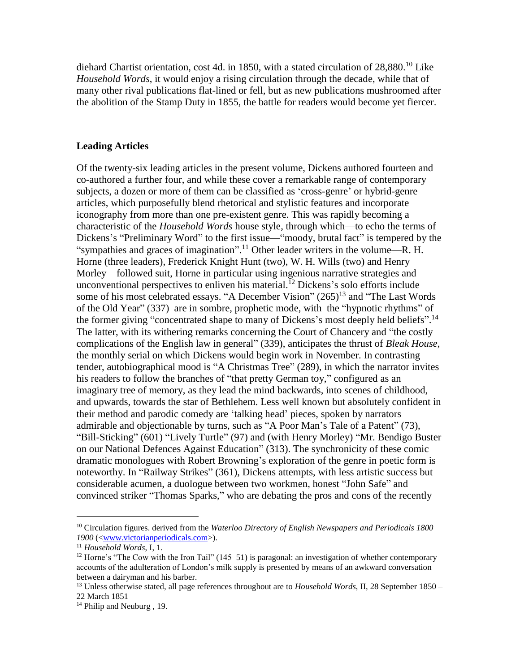diehard Chartist orientation, cost 4d. in 1850, with a stated circulation of 28,880.<sup>10</sup> Like *Household Words*, it would enjoy a rising circulation through the decade, while that of many other rival publications flat-lined or fell, but as new publications mushroomed after the abolition of the Stamp Duty in 1855, the battle for readers would become yet fiercer.

# **Leading Articles**

Of the twenty-six leading articles in the present volume, Dickens authored fourteen and co-authored a further four, and while these cover a remarkable range of contemporary subjects, a dozen or more of them can be classified as 'cross-genre' or hybrid-genre articles, which purposefully blend rhetorical and stylistic features and incorporate iconography from more than one pre-existent genre. This was rapidly becoming a characteristic of the *Household Words* house style, through which—to echo the terms of Dickens's "Preliminary Word" to the first issue—"moody, brutal fact" is tempered by the "sympathies and graces of imagination".<sup>11</sup> Other leader writers in the volume—R. H. Horne (three leaders), Frederick Knight Hunt (two), W. H. Wills (two) and Henry Morley—followed suit, Horne in particular using ingenious narrative strategies and unconventional perspectives to enliven his material. <sup>12</sup> Dickens's solo efforts include some of his most celebrated essays. "A December Vision"  $(265)^{13}$  and "The Last Words" of the Old Year" (337) are in sombre, prophetic mode, with the "hypnotic rhythms" of the former giving "concentrated shape to many of Dickens's most deeply held beliefs".<sup>14</sup> The latter, with its withering remarks concerning the Court of Chancery and "the costly complications of the English law in general" (339), anticipates the thrust of *Bleak House*, the monthly serial on which Dickens would begin work in November. In contrasting tender, autobiographical mood is "A Christmas Tree" (289), in which the narrator invites his readers to follow the branches of "that pretty German toy," configured as an imaginary tree of memory, as they lead the mind backwards, into scenes of childhood, and upwards, towards the star of Bethlehem. Less well known but absolutely confident in their method and parodic comedy are 'talking head' pieces, spoken by narrators admirable and objectionable by turns, such as "A Poor Man's Tale of a Patent" (73), "Bill-Sticking" (601) "Lively Turtle" (97) and (with Henry Morley) "Mr. Bendigo Buster on our National Defences Against Education" (313). The synchronicity of these comic dramatic monologues with Robert Browning's exploration of the genre in poetic form is noteworthy. In "Railway Strikes" (361), Dickens attempts, with less artistic success but considerable acumen, a duologue between two workmen, honest "John Safe" and convinced striker "Thomas Sparks," who are debating the pros and cons of the recently

<sup>10</sup> Circulation figures. derived from the *Waterloo Directory of English Newspapers and Periodicals 1800*– *1900* ([<www.victorianperiodicals.com>](http://www.victorianperiodicals.com/)).

<sup>11</sup> *Household Words*, I, 1.

<sup>&</sup>lt;sup>12</sup> Horne's "The Cow with the Iron Tail" (145–51) is paragonal: an investigation of whether contemporary accounts of the adulteration of London's milk supply is presented by means of an awkward conversation between a dairyman and his barber.

<sup>13</sup> Unless otherwise stated, all page references throughout are to *Household Words*, II, 28 September 1850 – 22 March 1851

<sup>&</sup>lt;sup>14</sup> Philip and Neuburg, 19.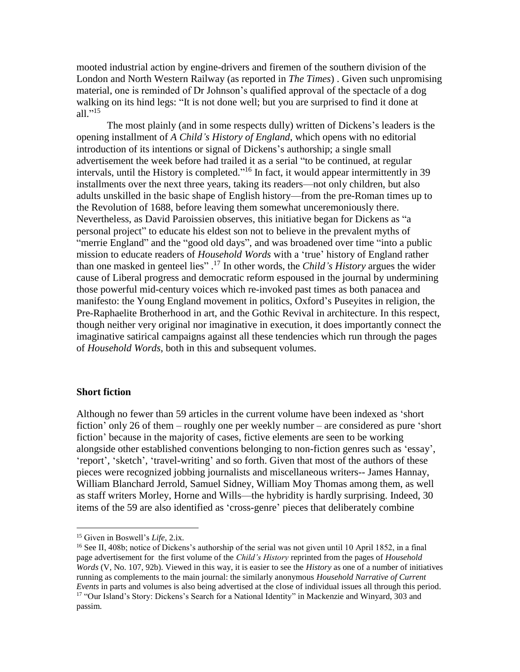mooted industrial action by engine-drivers and firemen of the southern division of the London and North Western Railway (as reported in *The Times*) . Given such unpromising material, one is reminded of Dr Johnson's qualified approval of the spectacle of a dog walking on its hind legs: "It is not done well; but you are surprised to find it done at all." 15

The most plainly (and in some respects dully) written of Dickens's leaders is the opening installment of *A Child's History of England*, which opens with no editorial introduction of its intentions or signal of Dickens's authorship; a single small advertisement the week before had trailed it as a serial "to be continued, at regular intervals, until the History is completed."<sup>16</sup> In fact, it would appear intermittently in 39 installments over the next three years, taking its readers—not only children, but also adults unskilled in the basic shape of English history—from the pre-Roman times up to the Revolution of 1688, before leaving them somewhat unceremoniously there. Nevertheless, as David Paroissien observes, this initiative began for Dickens as "a personal project" to educate his eldest son not to believe in the prevalent myths of "merrie England" and the "good old days", and was broadened over time "into a public mission to educate readers of *Household Words* with a 'true' history of England rather than one masked in genteel lies" . <sup>17</sup> In other words, the *Child's History* argues the wider cause of Liberal progress and democratic reform espoused in the journal by undermining those powerful mid-century voices which re-invoked past times as both panacea and manifesto: the Young England movement in politics, Oxford's Puseyites in religion, the Pre-Raphaelite Brotherhood in art, and the Gothic Revival in architecture. In this respect, though neither very original nor imaginative in execution, it does importantly connect the imaginative satirical campaigns against all these tendencies which run through the pages of *Household Words*, both in this and subsequent volumes.

# **Short fiction**

 $\overline{a}$ 

Although no fewer than 59 articles in the current volume have been indexed as 'short fiction' only 26 of them – roughly one per weekly number – are considered as pure 'short fiction' because in the majority of cases, fictive elements are seen to be working alongside other established conventions belonging to non-fiction genres such as 'essay', 'report', 'sketch', 'travel-writing' and so forth. Given that most of the authors of these pieces were recognized jobbing journalists and miscellaneous writers-- James Hannay, William Blanchard Jerrold, Samuel Sidney, William Moy Thomas among them, as well as staff writers Morley, Horne and Wills—the hybridity is hardly surprising. Indeed, 30 items of the 59 are also identified as 'cross-genre' pieces that deliberately combine

<sup>15</sup> Given in Boswell's *Life*, 2.ix.

<sup>16</sup> See II, 408b; notice of Dickens's authorship of the serial was not given until 10 April 1852, in a final page advertisement for the first volume of the *Child's History* reprinted from the pages of *Household Words* (V, No. 107, 92b). Viewed in this way, it is easier to see the *History* as one of a number of initiatives running as complements to the main journal: the similarly anonymous *Household Narrative of Current Events* in parts and volumes is also being advertised at the close of individual issues all through this period. <sup>17</sup> "Our Island's Story: Dickens's Search for a National Identity" in Mackenzie and Winyard, 303 and passim.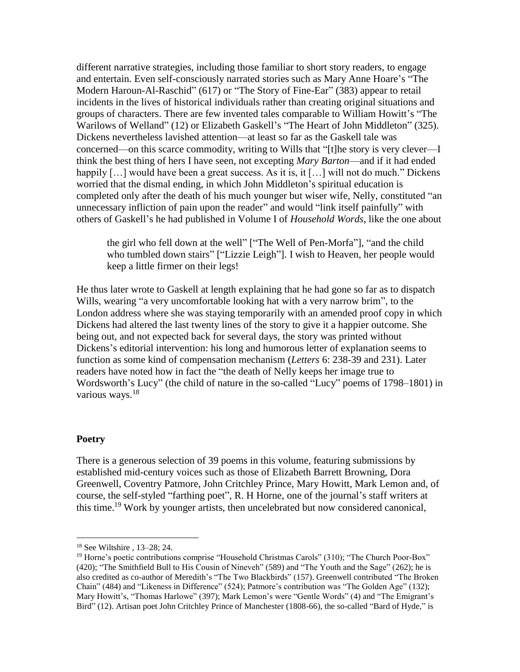different narrative strategies, including those familiar to short story readers, to engage and entertain. Even self-consciously narrated stories such as Mary Anne Hoare's "The Modern Haroun-Al-Raschid" (617) or "The Story of Fine-Ear" (383) appear to retail incidents in the lives of historical individuals rather than creating original situations and groups of characters. There are few invented tales comparable to William Howitt's "The Warilows of Welland" (12) or Elizabeth Gaskell's "The Heart of John Middleton" (325). Dickens nevertheless lavished attention—at least so far as the Gaskell tale was concerned—on this scarce commodity, writing to Wills that "[t]he story is very clever—I think the best thing of hers I have seen, not excepting *Mary Barton*—and if it had ended happily [...] would have been a great success. As it is, it [...] will not do much." Dickens worried that the dismal ending, in which John Middleton's spiritual education is completed only after the death of his much younger but wiser wife, Nelly, constituted "an unnecessary infliction of pain upon the reader" and would "link itself painfully" with others of Gaskell's he had published in Volume I of *Household Words*, like the one about

the girl who fell down at the well" ["The Well of Pen-Morfa"], "and the child who tumbled down stairs" ["Lizzie Leigh"]. I wish to Heaven, her people would keep a little firmer on their legs!

He thus later wrote to Gaskell at length explaining that he had gone so far as to dispatch Wills, wearing "a very uncomfortable looking hat with a very narrow brim", to the London address where she was staying temporarily with an amended proof copy in which Dickens had altered the last twenty lines of the story to give it a happier outcome. She being out, and not expected back for several days, the story was printed without Dickens's editorial intervention: his long and humorous letter of explanation seems to function as some kind of compensation mechanism (*Letters* 6: 238-39 and 231). Later readers have noted how in fact the "the death of Nelly keeps her image true to Wordsworth's Lucy" (the child of nature in the so-called "Lucy" poems of 1798–1801) in various ways.<sup>18</sup>

# **Poetry**

 $\overline{a}$ 

There is a generous selection of 39 poems in this volume, featuring submissions by established mid-century voices such as those of Elizabeth Barrett Browning, Dora Greenwell, Coventry Patmore, John Critchley Prince, Mary Howitt, Mark Lemon and, of course, the self-styled "farthing poet", R. H Horne, one of the journal's staff writers at this time.<sup>19</sup> Work by younger artists, then uncelebrated but now considered canonical,

<sup>18</sup> See Wiltshire , 13–28; 24.

<sup>19</sup> Horne's poetic contributions comprise "Household Christmas Carols" (310); "The Church Poor-Box" (420); "The Smithfield Bull to His Cousin of Nineveh" (589) and "The Youth and the Sage" (262); he is also credited as co-author of Meredith's "The Two Blackbirds" (157). Greenwell contributed "The Broken Chain" (484) and "Likeness in Difference" (524); Patmore's contribution was "The Golden Age" (132); Mary Howitt's, "Thomas Harlowe" (397); Mark Lemon's were "Gentle Words" (4) and "The Emigrant's Bird" (12). Artisan poet John Critchley Prince of Manchester (1808-66), the so-called "Bard of Hyde," is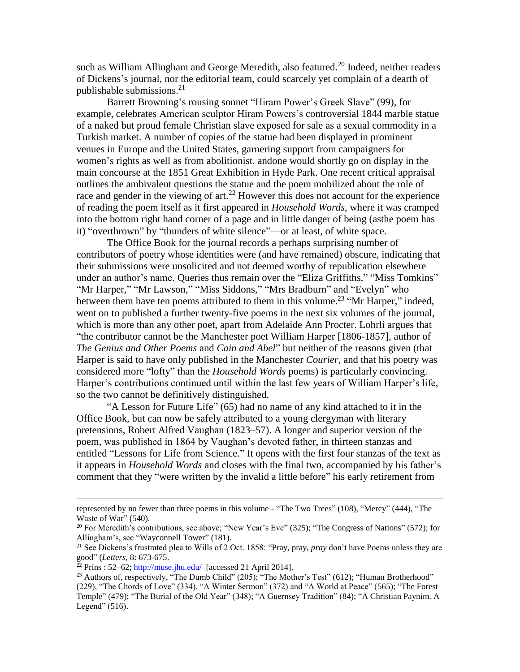such as William Allingham and George Meredith, also featured.<sup>20</sup> Indeed, neither readers of Dickens's journal, nor the editorial team, could scarcely yet complain of a dearth of publishable submissions. 21

Barrett Browning's rousing sonnet "Hiram Power's Greek Slave" (99), for example, celebrates American sculptor Hiram Powers's controversial 1844 marble statue of a naked but proud female Christian slave exposed for sale as a sexual commodity in a Turkish market. A number of copies of the statue had been displayed in prominent venues in Europe and the United States, garnering support from campaigners for women's rights as well as from abolitionist. andone would shortly go on display in the main concourse at the 1851 Great Exhibition in Hyde Park. One recent critical appraisal outlines the ambivalent questions the statue and the poem mobilized about the role of race and gender in the viewing of art.<sup>22</sup> However this does not account for the experience of reading the poem itself as it first appeared in *Household Words*, where it was cramped into the bottom right hand corner of a page and in little danger of being (asthe poem has it) "overthrown" by "thunders of white silence"—or at least, of white space.

The Office Book for the journal records a perhaps surprising number of contributors of poetry whose identities were (and have remained) obscure, indicating that their submissions were unsolicited and not deemed worthy of republication elsewhere under an author's name. Queries thus remain over the "Eliza Griffiths," "Miss Tomkins" "Mr Harper," "Mr Lawson," "Miss Siddons," "Mrs Bradburn" and "Evelyn" who between them have ten poems attributed to them in this volume.<sup>23</sup> "Mr Harper," indeed, went on to published a further twenty-five poems in the next six volumes of the journal, which is more than any other poet, apart from Adelaide Ann Procter. Lohrli argues that "the contributor cannot be the Manchester poet William Harper [1806-1857], author of *The Genius and Other Poems* and *Cain and Abel*" but neither of the reasons given (that Harper is said to have only published in the Manchester *Courier*, and that his poetry was considered more "lofty" than the *Household Words* poems) is particularly convincing. Harper's contributions continued until within the last few years of William Harper's life, so the two cannot be definitively distinguished.

"A Lesson for Future Life" (65) had no name of any kind attached to it in the Office Book, but can now be safely attributed to a young clergyman with literary pretensions, Robert Alfred Vaughan (1823–57). A longer and superior version of the poem, was published in 1864 by Vaughan's devoted father, in thirteen stanzas and entitled "Lessons for Life from Science." It opens with the first four stanzas of the text as it appears in *Household Words* and closes with the final two, accompanied by his father's comment that they "were written by the invalid a little before" his early retirement from

represented by no fewer than three poems in this volume - "The Two Trees" (108), "Mercy" (444), "The Waste of War" (540).

<sup>&</sup>lt;sup>20</sup> For Meredith's contributions, see above; "New Year's Eve" (325); "The Congress of Nations" (572); for Allingham's, see "Wayconnell Tower" (181).

<sup>21</sup> See Dickens's frustrated plea to Wills of 2 Oct. 1858: "Pray, pray, *pray* don't have Poems unless they are good" (*Letters*, 8: 673-675.

 $^{22}$  Prins : 52–62; <http://muse.jhu.edu/> [accessed 21 April 2014].

<sup>&</sup>lt;sup>23</sup> Authors of, respectively, "The Dumb Child" (205); "The Mother's Test" (612); "Human Brotherhood" (229), "The Chords of Love" (334), "A Winter Sermon" (372) and "A World at Peace" (565); "The Forest Temple" (479); "The Burial of the Old Year" (348); "A Guernsey Tradition" (84); "A Christian Paynim. A Legend"  $(516)$ .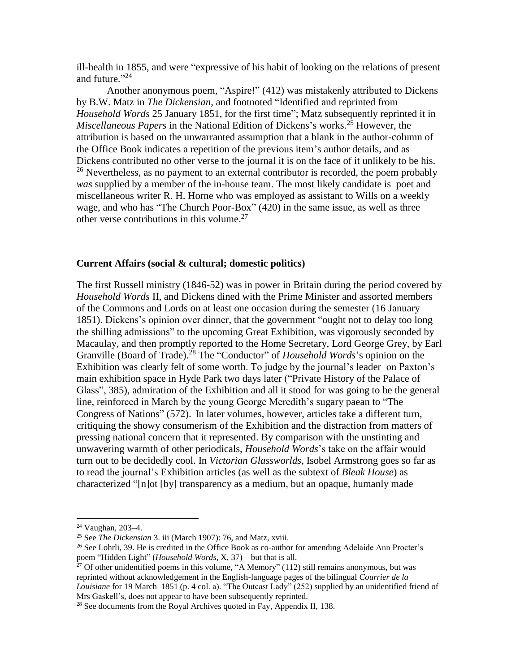ill-health in 1855, and were "expressive of his habit of looking on the relations of present and future."<sup>24</sup>

Another anonymous poem, "Aspire!" (412) was mistakenly attributed to Dickens by B.W. Matz in *The Dickensian*, and footnoted "Identified and reprinted from *Household Words* 25 January 1851, for the first time"; Matz subsequently reprinted it in *Miscellaneous Papers* in the National Edition of Dickens's works.<sup>25</sup> However, the attribution is based on the unwarranted assumption that a blank in the author-column of the Office Book indicates a repetition of the previous item's author details, and as Dickens contributed no other verse to the journal it is on the face of it unlikely to be his.  $26$  Nevertheless, as no payment to an external contributor is recorded, the poem probably *was* supplied by a member of the in-house team. The most likely candidate is poet and miscellaneous writer R. H. Horne who was employed as assistant to Wills on a weekly wage, and who has "The Church Poor-Box" (420) in the same issue, as well as three other verse contributions in this volume.<sup>27</sup>

### **Current Affairs (social & cultural; domestic politics)**

The first Russell ministry (1846-52) was in power in Britain during the period covered by *Household Words* II, and Dickens dined with the Prime Minister and assorted members of the Commons and Lords on at least one occasion during the semester (16 January 1851). Dickens's opinion over dinner, that the government "ought not to delay too long the shilling admissions" to the upcoming Great Exhibition, was vigorously seconded by Macaulay, and then promptly reported to the Home Secretary, Lord George Grey, by Earl Granville (Board of Trade).<sup>28</sup> The "Conductor" of *Household Words*'s opinion on the Exhibition was clearly felt of some worth. To judge by the journal's leader on Paxton's main exhibition space in Hyde Park two days later ("Private History of the Palace of Glass", 385), admiration of the Exhibition and all it stood for was going to be the general line, reinforced in March by the young George Meredith's sugary paean to "The Congress of Nations" (572). In later volumes, however, articles take a different turn, critiquing the showy consumerism of the Exhibition and the distraction from matters of pressing national concern that it represented. By comparison with the unstinting and unwavering warmth of other periodicals, *Household Words*'s take on the affair would turn out to be decidedly cool. In *Victorian Glassworlds*, Isobel Armstrong goes so far as to read the journal's Exhibition articles (as well as the subtext of *Bleak House*) as characterized "[n]ot [by] transparency as a medium, but an opaque, humanly made

<sup>24</sup> Vaughan, 203–4.

<sup>25</sup> See *The Dickensian* 3. iii (March 1907): 76, and Matz, xviii.

<sup>&</sup>lt;sup>26</sup> See Lohrli, 39. He is credited in the Office Book as co-author for amending Adelaide Ann Procter's poem "Hidden Light" (*Household Words*, X, 37) – but that is all.

 $^{27}$  Of other unidentified poems in this volume, "A Memory" (112) still remains anonymous, but was reprinted without acknowledgement in the English-language pages of the bilingual *Courrier de la Louisiane* for 19 March 1851 (p. 4 col. a). "The Outcast Lady" (252) supplied by an unidentified friend of Mrs Gaskell's, does not appear to have been subsequently reprinted.

 $^{28}$  See documents from the Royal Archives quoted in Fay, Appendix II, 138.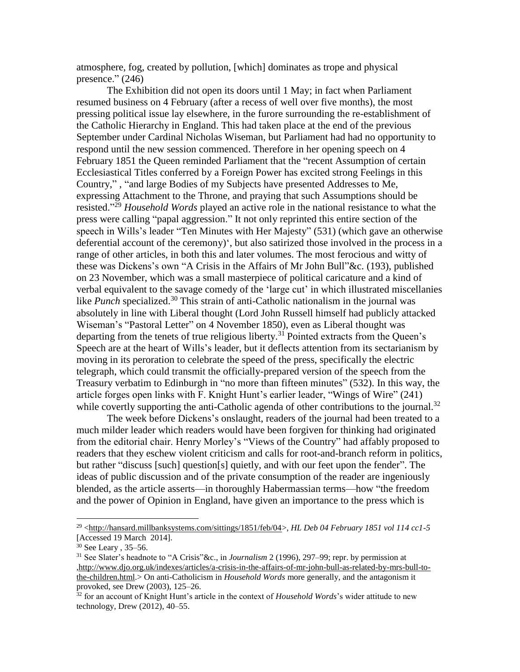atmosphere, fog, created by pollution, [which] dominates as trope and physical presence." (246)

The Exhibition did not open its doors until 1 May; in fact when Parliament resumed business on 4 February (after a recess of well over five months), the most pressing political issue lay elsewhere, in the furore surrounding the re-establishment of the Catholic Hierarchy in England. This had taken place at the end of the previous September under Cardinal Nicholas Wiseman, but Parliament had had no opportunity to respond until the new session commenced. Therefore in her opening speech on 4 February 1851 the Queen reminded Parliament that the "recent Assumption of certain Ecclesiastical Titles conferred by a Foreign Power has excited strong Feelings in this Country," , "and large Bodies of my Subjects have presented Addresses to Me, expressing Attachment to the Throne, and praying that such Assumptions should be resisted." <sup>29</sup> *Household Words* played an active role in the national resistance to what the press were calling "papal aggression." It not only reprinted this entire section of the speech in Wills's leader "Ten Minutes with Her Majesty" (531) (which gave an otherwise deferential account of the ceremony)', but also satirized those involved in the process in a range of other articles, in both this and later volumes. The most ferocious and witty of these was Dickens's own "A Crisis in the Affairs of Mr John Bull"&c. (193), published on 23 November, which was a small masterpiece of political caricature and a kind of verbal equivalent to the savage comedy of the 'large cut' in which illustrated miscellanies like *Punch* specialized.<sup>30</sup> This strain of anti-Catholic nationalism in the journal was absolutely in line with Liberal thought (Lord John Russell himself had publicly attacked Wiseman's "Pastoral Letter" on 4 November 1850), even as Liberal thought was departing from the tenets of true religious liberty.<sup>31</sup> Pointed extracts from the Queen's Speech are at the heart of Wills's leader, but it deflects attention from its sectarianism by moving in its peroration to celebrate the speed of the press, specifically the electric telegraph, which could transmit the officially-prepared version of the speech from the Treasury verbatim to Edinburgh in "no more than fifteen minutes" (532). In this way, the article forges open links with F. Knight Hunt's earlier leader, "Wings of Wire" (241) while covertly supporting the anti-Catholic agenda of other contributions to the journal.<sup>32</sup>

The week before Dickens's onslaught, readers of the journal had been treated to a much milder leader which readers would have been forgiven for thinking had originated from the editorial chair. Henry Morley's "Views of the Country" had affably proposed to readers that they eschew violent criticism and calls for root-and-branch reform in politics, but rather "discuss [such] question[s] quietly, and with our feet upon the fender". The ideas of public discussion and of the private consumption of the reader are ingeniously blended, as the article asserts—in thoroughly Habermassian terms—how "the freedom and the power of Opinion in England, have given an importance to the press which is

<sup>29</sup> [<http://hansard.millbanksystems.com/sittings/1851/feb/04>](http://hansard.millbanksystems.com/sittings/1851/feb/04), *HL Deb 04 February 1851 vol 114 cc1-5*  [Accessed 19 March 2014].

<sup>30</sup> See Leary , 35–56.

<sup>31</sup> See Slater's headnote to "A Crisis"&c., in *Journalism* 2 (1996), 297–99; repr. by permission at [,http://www.djo.org.uk/indexes/articles/a-crisis-in-the-affairs-of-mr-john-bull-as-related-by-mrs-bull-to](http://www.djo.org.uk/indexes/articles/a-crisis-in-the-affairs-of-mr-john-bull-as-related-by-mrs-bull-to-the-children.html)[the-children.html.](http://www.djo.org.uk/indexes/articles/a-crisis-in-the-affairs-of-mr-john-bull-as-related-by-mrs-bull-to-the-children.html)> On anti-Catholicism in *Household Words* more generally, and the antagonism it provoked, see Drew (2003), 125–26.

<sup>32</sup> for an account of Knight Hunt's article in the context of *Household Words*'s wider attitude to new technology, Drew (2012), 40–55.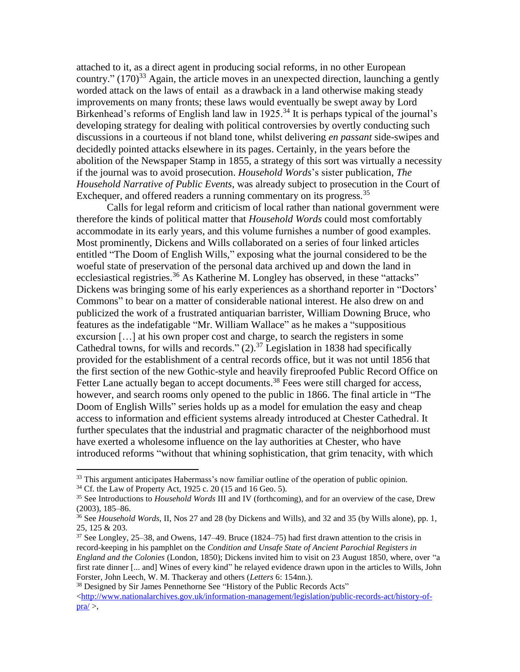attached to it, as a direct agent in producing social reforms, in no other European country."  $(170)^{33}$  Again, the article moves in an unexpected direction, launching a gently worded attack on the laws of entail as a drawback in a land otherwise making steady improvements on many fronts; these laws would eventually be swept away by Lord Birkenhead's reforms of English land law in 1925.<sup>34</sup> It is perhaps typical of the journal's developing strategy for dealing with political controversies by overtly conducting such discussions in a courteous if not bland tone, whilst delivering *en passant* side-swipes and decidedly pointed attacks elsewhere in its pages. Certainly, in the years before the abolition of the Newspaper Stamp in 1855, a strategy of this sort was virtually a necessity if the journal was to avoid prosecution. *Household Words*'s sister publication, *The Household Narrative of Public Events*, was already subject to prosecution in the Court of Exchequer, and offered readers a running commentary on its progress.<sup>35</sup>

Calls for legal reform and criticism of local rather than national government were therefore the kinds of political matter that *Household Words* could most comfortably accommodate in its early years, and this volume furnishes a number of good examples. Most prominently, Dickens and Wills collaborated on a series of four linked articles entitled "The Doom of English Wills," exposing what the journal considered to be the woeful state of preservation of the personal data archived up and down the land in ecclesiastical registries.<sup>36</sup> As Katherine M. Longley has observed, in these "attacks" Dickens was bringing some of his early experiences as a shorthand reporter in "Doctors' Commons" to bear on a matter of considerable national interest. He also drew on and publicized the work of a frustrated antiquarian barrister, William Downing Bruce, who features as the indefatigable "Mr. William Wallace" as he makes a "suppositious excursion […] at his own proper cost and charge, to search the registers in some Cathedral towns, for wills and records."  $(2)$ .<sup>37</sup> Legislation in 1838 had specifically provided for the establishment of a central records office, but it was not until 1856 that the first section of the new Gothic-style and heavily fireproofed Public Record Office on Fetter Lane actually began to accept documents.<sup>38</sup> Fees were still charged for access, however, and search rooms only opened to the public in 1866. The final article in "The Doom of English Wills" series holds up as a model for emulation the easy and cheap access to information and efficient systems already introduced at Chester Cathedral. It further speculates that the industrial and pragmatic character of the neighborhood must have exerted a wholesome influence on the lay authorities at Chester, who have introduced reforms "without that whining sophistication, that grim tenacity, with which

<sup>&</sup>lt;sup>33</sup> This argument anticipates Habermass's now familiar outline of the operation of public opinion.

 $34$  Cf. the Law of Property Act, 1925 c. 20 (15 and 16 Geo. 5).

<sup>35</sup> See Introductions to *Household Words* III and IV (forthcoming), and for an overview of the case, Drew (2003), 185–86.

<sup>36</sup> See *Household Words,* II, Nos 27 and 28 (by Dickens and Wills), and 32 and 35 (by Wills alone), pp. 1, 25, 125 & 203.

<sup>37</sup> See Longley, 25–38, and Owens, 147–49. Bruce (1824–75) had first drawn attention to the crisis in record-keeping in his pamphlet on the *Condition and Unsafe State of Ancient Parochial Registers in England and the Colonies* (London, 1850); Dickens invited him to visit on 23 August 1850, where, over "a first rate dinner [... and] Wines of every kind" he relayed evidence drawn upon in the articles to Wills, John Forster, John Leech, W. M. Thackeray and others (*Letters* 6: 154nn.).

<sup>&</sup>lt;sup>38</sup> Designed by Sir James Pennethorne See "History of the Public Records Acts"  $\langle$ http://www.nationalarchives.gov.uk/information-management/legislation/public-records-act/history-of $pra \geq$ ,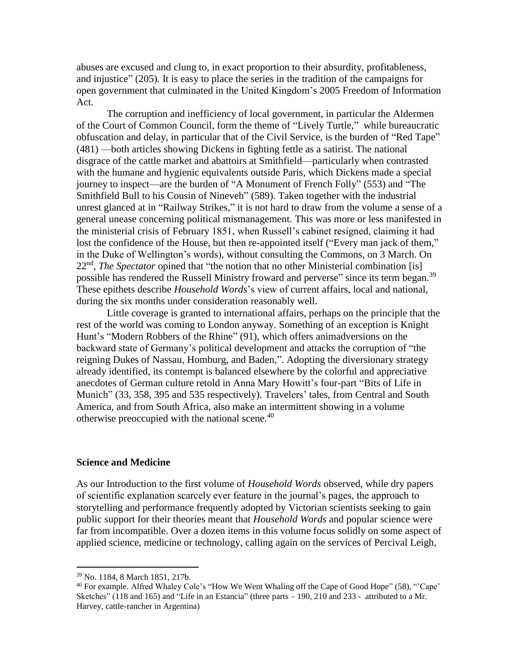abuses are excused and clung to, in exact proportion to their absurdity, profitableness, and injustice" (205). It is easy to place the series in the tradition of the campaigns for open government that culminated in the United Kingdom's 2005 Freedom of Information Act.

The corruption and inefficiency of local government, in particular the Aldermen of the Court of Common Council, form the theme of "Lively Turtle," while bureaucratic obfuscation and delay, in particular that of the Civil Service, is the burden of "Red Tape" (481) —both articles showing Dickens in fighting fettle as a satirist. The national disgrace of the cattle market and abattoirs at Smithfield—particularly when contrasted with the humane and hygienic equivalents outside Paris, which Dickens made a special journey to inspect—are the burden of "A Monument of French Folly" (553) and "The Smithfield Bull to his Cousin of Nineveh" (589). Taken together with the industrial unrest glanced at in "Railway Strikes," it is not hard to draw from the volume a sense of a general unease concerning political mismanagement. This was more or less manifested in the ministerial crisis of February 1851, when Russell's cabinet resigned, claiming it had lost the confidence of the House, but then re-appointed itself ("Every man jack of them," in the Duke of Wellington's words), without consulting the Commons, on 3 March. On 22<sup>nd</sup>, *The Spectator* opined that "the notion that no other Ministerial combination [is] possible has rendered the Russell Ministry froward and perverse" since its term began.<sup>39</sup> These epithets describe *Household Words*'s view of current affairs, local and national, during the six months under consideration reasonably well.

Little coverage is granted to international affairs, perhaps on the principle that the rest of the world was coming to London anyway. Something of an exception is Knight Hunt's "Modern Robbers of the Rhine" (91), which offers animadversions on the backward state of Germany's political development and attacks the corruption of "the reigning Dukes of Nassau, Homburg, and Baden,". Adopting the diversionary strategy already identified, its contempt is balanced elsewhere by the colorful and appreciative anecdotes of German culture retold in Anna Mary Howitt's four-part "Bits of Life in Munich" (33, 358, 395 and 535 respectively). Travelers' tales, from Central and South America, and from South Africa, also make an intermittent showing in a volume otherwise preoccupied with the national scene.<sup>40</sup>

## **Science and Medicine**

As our Introduction to the first volume of *Household Words* observed, while dry papers of scientific explanation scarcely ever feature in the journal's pages, the approach to storytelling and performance frequently adopted by Victorian scientists seeking to gain public support for their theories meant that *Household Words* and popular science were far from incompatible. Over a dozen items in this volume focus solidly on some aspect of applied science, medicine or technology, calling again on the services of Percival Leigh,

<sup>39</sup> No. 1184, 8 March 1851, 217b.

<sup>40</sup> For example. Alfred Whaley Cole's "How We Went Whaling off the Cape of Good Hope" (58), "'Cape' Sketches" (118 and 165) and "Life in an Estancia" (three parts – 190, 210 and 233 - attributed to a Mr. Harvey, cattle-rancher in Argentina)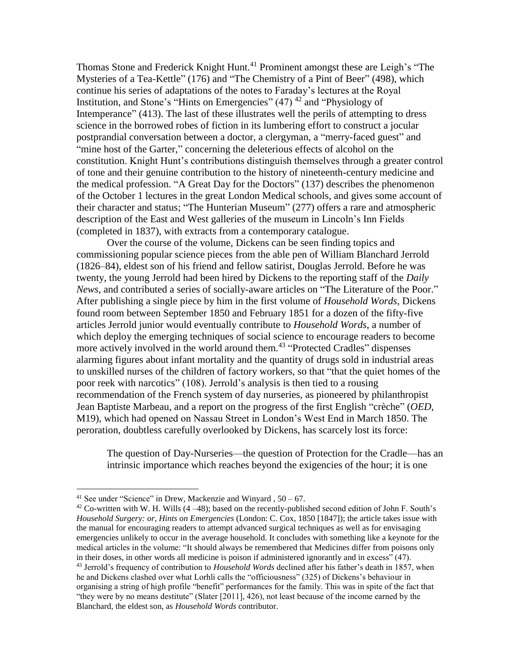Thomas Stone and Frederick Knight Hunt.<sup>41</sup> Prominent amongst these are Leigh's "The Mysteries of a Tea-Kettle" (176) and "The Chemistry of a Pint of Beer" (498), which continue his series of adaptations of the notes to Faraday's lectures at the Royal Institution, and Stone's "Hints on Emergencies"  $(47)$ <sup>42</sup> and "Physiology of Intemperance" (413). The last of these illustrates well the perils of attempting to dress science in the borrowed robes of fiction in its lumbering effort to construct a jocular postprandial conversation between a doctor, a clergyman, a "merry-faced guest" and "mine host of the Garter," concerning the deleterious effects of alcohol on the constitution. Knight Hunt's contributions distinguish themselves through a greater control of tone and their genuine contribution to the history of nineteenth-century medicine and the medical profession. "A Great Day for the Doctors" (137) describes the phenomenon of the October 1 lectures in the great London Medical schools, and gives some account of their character and status; "The Hunterian Museum" (277) offers a rare and atmospheric description of the East and West galleries of the museum in Lincoln's Inn Fields (completed in 1837), with extracts from a contemporary catalogue.

Over the course of the volume, Dickens can be seen finding topics and commissioning popular science pieces from the able pen of William Blanchard Jerrold (1826–84), eldest son of his friend and fellow satirist, Douglas Jerrold. Before he was twenty, the young Jerrold had been hired by Dickens to the reporting staff of the *Daily News*, and contributed a series of socially-aware articles on "The Literature of the Poor." After publishing a single piece by him in the first volume of *Household Words*, Dickens found room between September 1850 and February 1851 for a dozen of the fifty-five articles Jerrold junior would eventually contribute to *Household Words*, a number of which deploy the emerging techniques of social science to encourage readers to become more actively involved in the world around them.<sup>43</sup> "Protected Cradles" dispenses alarming figures about infant mortality and the quantity of drugs sold in industrial areas to unskilled nurses of the children of factory workers, so that "that the quiet homes of the poor reek with narcotics" (108). Jerrold's analysis is then tied to a rousing recommendation of the French system of day nurseries, as pioneered by philanthropist Jean Baptiste Marbeau, and a report on the progress of the first English "crèche" (*OED*, M19), which had opened on Nassau Street in London's West End in March 1850. The peroration, doubtless carefully overlooked by Dickens, has scarcely lost its force:

The question of Day-Nurseries—the question of Protection for the Cradle—has an intrinsic importance which reaches beyond the exigencies of the hour; it is one

<sup>&</sup>lt;sup>41</sup> See under "Science" in Drew, Mackenzie and Winyard,  $50 - 67$ .

 $42$  Co-written with W. H. Wills (4 –48); based on the recently-published second edition of John F. South's *Household Surgery: or, Hints on Emergencies* (London: C. Cox, 1850 [1847]); the article takes issue with the manual for encouraging readers to attempt advanced surgical techniques as well as for envisaging emergencies unlikely to occur in the average household. It concludes with something like a keynote for the medical articles in the volume: "It should always be remembered that Medicines differ from poisons only in their doses, in other words all medicine is poison if administered ignorantly and in excess" (47). <sup>43</sup> Jerrold's frequency of contribution to *Household Words* declined after his father's death in 1857, when he and Dickens clashed over what Lorhli calls the "officiousness" (325) of Dickens's behaviour in organising a string of high profile "benefit" performances for the family. This was in spite of the fact that "they were by no means destitute" (Slater [2011], 426), not least because of the income earned by the Blanchard, the eldest son, as *Household Words* contributor.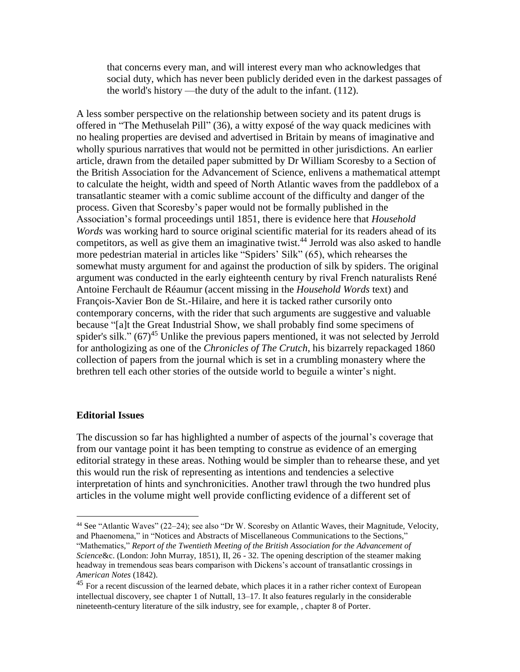that concerns every man, and will interest every man who acknowledges that social duty, which has never been publicly derided even in the darkest passages of the world's history —the duty of the adult to the infant. (112).

A less somber perspective on the relationship between society and its patent drugs is offered in "The Methuselah Pill" (36), a witty exposé of the way quack medicines with no healing properties are devised and advertised in Britain by means of imaginative and wholly spurious narratives that would not be permitted in other jurisdictions. An earlier article, drawn from the detailed paper submitted by Dr William Scoresby to a Section of the British Association for the Advancement of Science, enlivens a mathematical attempt to calculate the height, width and speed of North Atlantic waves from the paddlebox of a transatlantic steamer with a comic sublime account of the difficulty and danger of the process. Given that Scoresby's paper would not be formally published in the Association's formal proceedings until 1851, there is evidence here that *Household Words* was working hard to source original scientific material for its readers ahead of its competitors, as well as give them an imaginative twist.<sup>44</sup> Jerrold was also asked to handle more pedestrian material in articles like "Spiders' Silk" (65), which rehearses the somewhat musty argument for and against the production of silk by spiders. The original argument was conducted in the early eighteenth century by rival French naturalists René Antoine Ferchault de Réaumur (accent missing in the *Household Words* text) and François-Xavier Bon de St.-Hilaire, and here it is tacked rather cursorily onto contemporary concerns, with the rider that such arguments are suggestive and valuable because "[a]t the Great Industrial Show, we shall probably find some specimens of spider's silk."  $(67)^{45}$  Unlike the previous papers mentioned, it was not selected by Jerrold for anthologizing as one of the *Chronicles of The Crutch*, his bizarrely repackaged 1860 collection of papers from the journal which is set in a crumbling monastery where the brethren tell each other stories of the outside world to beguile a winter's night.

# **Editorial Issues**

 $\overline{a}$ 

The discussion so far has highlighted a number of aspects of the journal's coverage that from our vantage point it has been tempting to construe as evidence of an emerging editorial strategy in these areas. Nothing would be simpler than to rehearse these, and yet this would run the risk of representing as intentions and tendencies a selective interpretation of hints and synchronicities. Another trawl through the two hundred plus articles in the volume might well provide conflicting evidence of a different set of

<sup>44</sup> See "Atlantic Waves" (22–24); see also "Dr W. Scoresby on Atlantic Waves, their Magnitude, Velocity, and Phaenomena," in "Notices and Abstracts of Miscellaneous Communications to the Sections," "Mathematics," *Report of the Twentieth Meeting of the British Association for the Advancement of Science*&c. (London: John Murray, 1851), II, 26 - 32. The opening description of the steamer making headway in tremendous seas bears comparison with Dickens's account of transatlantic crossings in *American Notes* (1842).

<sup>&</sup>lt;sup>45</sup> For a recent discussion of the learned debate, which places it in a rather richer context of European intellectual discovery, see chapter 1 of Nuttall, 13–17. It also features regularly in the considerable nineteenth-century literature of the silk industry, see for example, , chapter 8 of Porter.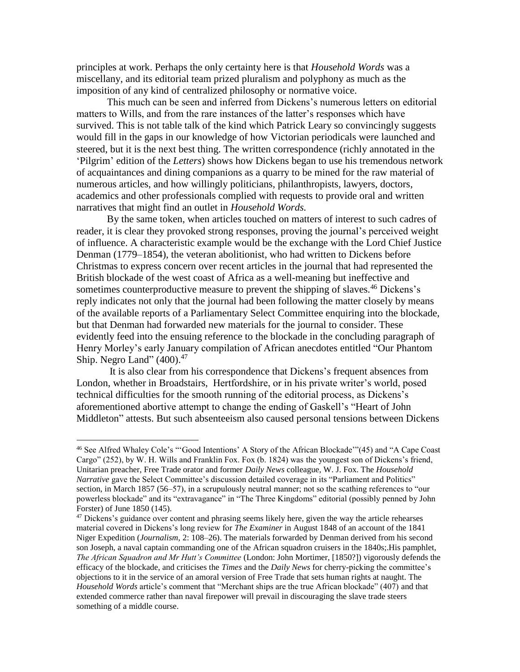principles at work. Perhaps the only certainty here is that *Household Words* was a miscellany, and its editorial team prized pluralism and polyphony as much as the imposition of any kind of centralized philosophy or normative voice.

This much can be seen and inferred from Dickens's numerous letters on editorial matters to Wills, and from the rare instances of the latter's responses which have survived. This is not table talk of the kind which Patrick Leary so convincingly suggests would fill in the gaps in our knowledge of how Victorian periodicals were launched and steered, but it is the next best thing. The written correspondence (richly annotated in the 'Pilgrim' edition of the *Letters*) shows how Dickens began to use his tremendous network of acquaintances and dining companions as a quarry to be mined for the raw material of numerous articles, and how willingly politicians, philanthropists, lawyers, doctors, academics and other professionals complied with requests to provide oral and written narratives that might find an outlet in *Household Words.* 

By the same token, when articles touched on matters of interest to such cadres of reader, it is clear they provoked strong responses, proving the journal's perceived weight of influence. A characteristic example would be the exchange with the Lord Chief Justice Denman (1779–1854), the veteran abolitionist, who had written to Dickens before Christmas to express concern over recent articles in the journal that had represented the British blockade of the west coast of Africa as a well-meaning but ineffective and sometimes counterproductive measure to prevent the shipping of slaves.<sup>46</sup> Dickens's reply indicates not only that the journal had been following the matter closely by means of the available reports of a Parliamentary Select Committee enquiring into the blockade, but that Denman had forwarded new materials for the journal to consider. These evidently feed into the ensuing reference to the blockade in the concluding paragraph of Henry Morley's early January compilation of African anecdotes entitled "Our Phantom Ship. Negro Land"  $(400).^{47}$ 

It is also clear from his correspondence that Dickens's frequent absences from London, whether in Broadstairs, Hertfordshire, or in his private writer's world, posed technical difficulties for the smooth running of the editorial process, as Dickens's aforementioned abortive attempt to change the ending of Gaskell's "Heart of John Middleton" attests. But such absenteeism also caused personal tensions between Dickens

<sup>46</sup> See Alfred Whaley Cole's "'Good Intentions' A Story of the African Blockade'"(45) and "A Cape Coast Cargo" (252), by W. H. Wills and Franklin Fox. Fox (b. 1824) was the youngest son of Dickens's friend, Unitarian preacher, Free Trade orator and former *Daily News* colleague, W. J. Fox. The *Household Narrative* gave the Select Committee's discussion detailed coverage in its "Parliament and Politics" section, in March 1857 (56–57), in a scrupulously neutral manner; not so the scathing references to "our powerless blockade" and its "extravagance" in "The Three Kingdoms" editorial (possibly penned by John Forster) of June 1850 (145).

 $47$  Dickens's guidance over content and phrasing seems likely here, given the way the article rehearses material covered in Dickens's long review for *The Examiner* in August 1848 of an account of the 1841 Niger Expedition (*Journalism*, 2: 108–26). The materials forwarded by Denman derived from his second son Joseph, a naval captain commanding one of the African squadron cruisers in the 1840s;.His pamphlet, *The African Squadron and Mr Hutt's Committee* (London: John Mortimer, [1850?]) vigorously defends the efficacy of the blockade, and criticises the *Times* and the *Daily News* for cherry-picking the committee's objections to it in the service of an amoral version of Free Trade that sets human rights at naught. The *Household Words* article's comment that "Merchant ships are the true African blockade" (407) and that extended commerce rather than naval firepower will prevail in discouraging the slave trade steers something of a middle course.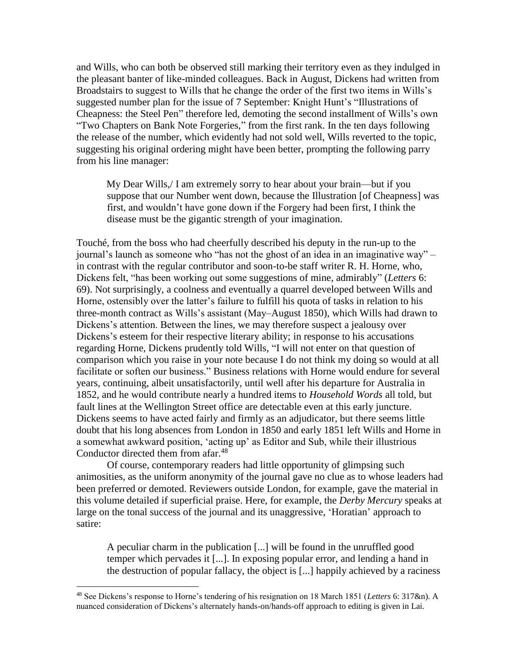and Wills, who can both be observed still marking their territory even as they indulged in the pleasant banter of like-minded colleagues. Back in August, Dickens had written from Broadstairs to suggest to Wills that he change the order of the first two items in Wills's suggested number plan for the issue of 7 September: Knight Hunt's "Illustrations of Cheapness: the Steel Pen" therefore led, demoting the second installment of Wills's own "Two Chapters on Bank Note Forgeries," from the first rank. In the ten days following the release of the number, which evidently had not sold well, Wills reverted to the topic, suggesting his original ordering might have been better, prompting the following parry from his line manager:

My Dear Wills,/ I am extremely sorry to hear about your brain—but if you suppose that our Number went down, because the Illustration [of Cheapness] was first, and wouldn't have gone down if the Forgery had been first, I think the disease must be the gigantic strength of your imagination.

Touché, from the boss who had cheerfully described his deputy in the run-up to the journal's launch as someone who "has not the ghost of an idea in an imaginative way" – in contrast with the regular contributor and soon-to-be staff writer R. H. Horne, who, Dickens felt, "has been working out some suggestions of mine, admirably" (*Letters* 6: 69). Not surprisingly, a coolness and eventually a quarrel developed between Wills and Horne, ostensibly over the latter's failure to fulfill his quota of tasks in relation to his three-month contract as Wills's assistant (May–August 1850), which Wills had drawn to Dickens's attention. Between the lines, we may therefore suspect a jealousy over Dickens's esteem for their respective literary ability; in response to his accusations regarding Horne, Dickens prudently told Wills, "I will not enter on that question of comparison which you raise in your note because I do not think my doing so would at all facilitate or soften our business." Business relations with Horne would endure for several years, continuing, albeit unsatisfactorily, until well after his departure for Australia in 1852, and he would contribute nearly a hundred items to *Household Words* all told, but fault lines at the Wellington Street office are detectable even at this early juncture. Dickens seems to have acted fairly and firmly as an adjudicator, but there seems little doubt that his long absences from London in 1850 and early 1851 left Wills and Horne in a somewhat awkward position, 'acting up' as Editor and Sub, while their illustrious Conductor directed them from afar.<sup>48</sup>

Of course, contemporary readers had little opportunity of glimpsing such animosities, as the uniform anonymity of the journal gave no clue as to whose leaders had been preferred or demoted. Reviewers outside London, for example, gave the material in this volume detailed if superficial praise. Here, for example, the *Derby Mercury* speaks at large on the tonal success of the journal and its unaggressive, 'Horatian' approach to satire:

A peculiar charm in the publication [...] will be found in the unruffled good temper which pervades it [...]. In exposing popular error, and lending a hand in the destruction of popular fallacy, the object is [...] happily achieved by a raciness

<sup>48</sup> See Dickens's response to Horne's tendering of his resignation on 18 March 1851 (*Letters* 6: 317&n). A nuanced consideration of Dickens's alternately hands-on/hands-off approach to editing is given in Lai.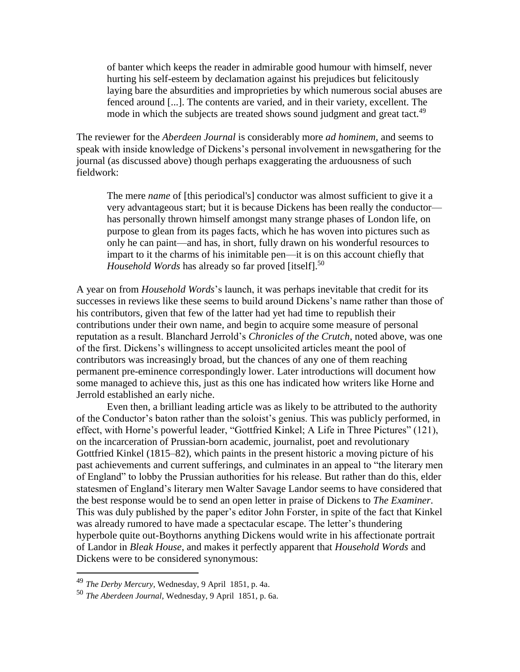of banter which keeps the reader in admirable good humour with himself, never hurting his self-esteem by declamation against his prejudices but felicitously laying bare the absurdities and improprieties by which numerous social abuses are fenced around [...]. The contents are varied, and in their variety, excellent. The mode in which the subjects are treated shows sound judgment and great tact.<sup>49</sup>

The reviewer for the *Aberdeen Journal* is considerably more *ad hominem*, and seems to speak with inside knowledge of Dickens's personal involvement in newsgathering for the journal (as discussed above) though perhaps exaggerating the arduousness of such fieldwork:

The mere *name* of [this periodical's] conductor was almost sufficient to give it a very advantageous start; but it is because Dickens has been really the conductor has personally thrown himself amongst many strange phases of London life, on purpose to glean from its pages facts, which he has woven into pictures such as only he can paint—and has, in short, fully drawn on his wonderful resources to impart to it the charms of his inimitable pen—it is on this account chiefly that *Household Words* has already so far proved [itself].<sup>50</sup>

A year on from *Household Words*'s launch, it was perhaps inevitable that credit for its successes in reviews like these seems to build around Dickens's name rather than those of his contributors, given that few of the latter had yet had time to republish their contributions under their own name, and begin to acquire some measure of personal reputation as a result. Blanchard Jerrold's *Chronicles of the Crutch*, noted above, was one of the first. Dickens's willingness to accept unsolicited articles meant the pool of contributors was increasingly broad, but the chances of any one of them reaching permanent pre-eminence correspondingly lower. Later introductions will document how some managed to achieve this, just as this one has indicated how writers like Horne and Jerrold established an early niche.

Even then, a brilliant leading article was as likely to be attributed to the authority of the Conductor's baton rather than the soloist's genius. This was publicly performed, in effect, with Horne's powerful leader, "Gottfried Kinkel; A Life in Three Pictures" (121), on the incarceration of Prussian-born academic, journalist, poet and revolutionary Gottfried Kinkel (1815–82), which paints in the present historic a moving picture of his past achievements and current sufferings, and culminates in an appeal to "the literary men of England" to lobby the Prussian authorities for his release. But rather than do this, elder statesmen of England's literary men Walter Savage Landor seems to have considered that the best response would be to send an open letter in praise of Dickens to *The Examiner*. This was duly published by the paper's editor John Forster, in spite of the fact that Kinkel was already rumored to have made a spectacular escape. The letter's thundering hyperbole quite out-Boythorns anything Dickens would write in his affectionate portrait of Landor in *Bleak House*, and makes it perfectly apparent that *Household Words* and Dickens were to be considered synonymous:

<sup>49</sup> *The Derby Mercury*, Wednesday, 9 April 1851, p. 4a.

<sup>50</sup> *The Aberdeen Journal*, Wednesday, 9 April 1851, p. 6a.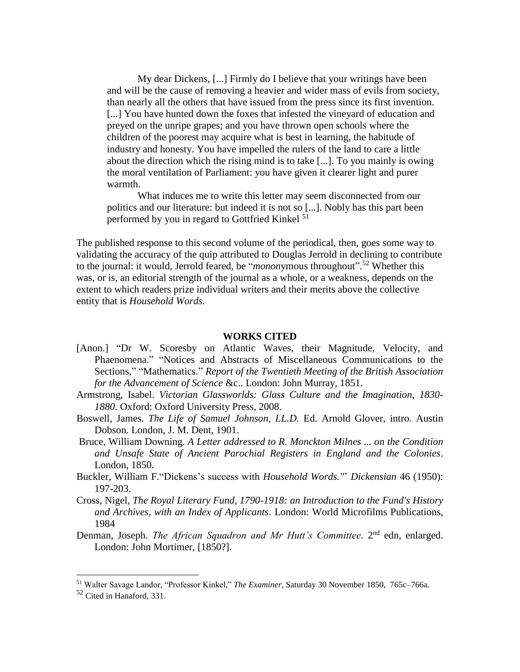My dear Dickens, [...] Firmly do I believe that your writings have been and will be the cause of removing a heavier and wider mass of evils from society, than nearly all the others that have issued from the press since its first invention. [...] You have hunted down the foxes that infested the vineyard of education and preyed on the unripe grapes; and you have thrown open schools where the children of the poorest may acquire what is best in learning, the habitude of industry and honesty. You have impelled the rulers of the land to care a little about the direction which the rising mind is to take [...]. To you mainly is owing the moral ventilation of Parliament: you have given it clearer light and purer warmth.

What induces me to write this letter may seem disconnected from our politics and our literature: but indeed it is not so [...]. Nobly has this part been performed by you in regard to Gottfried Kinkel<sup>51</sup>

The published response to this second volume of the periodical, then, goes some way to validating the accuracy of the quip attributed to Douglas Jerrold in declining to contribute to the journal: it would, Jerrold feared, be "*monon*ymous throughout". <sup>52</sup> Whether this was, or is, an editorial strength of the journal as a whole, or a weakness, depends on the extent to which readers prize individual writers and their merits above the collective entity that is *Household Words.*

#### **WORKS CITED**

- [Anon.] "Dr W. Scoresby on Atlantic Waves, their Magnitude, Velocity, and Phaenomena." "Notices and Abstracts of Miscellaneous Communications to the Sections," "Mathematics." *Report of the Twentieth Meeting of the British Association for the Advancement of Science* &c.. London: John Murray, 1851.
- Armstrong, Isabel. *Victorian Glassworlds: Glass Culture and the Imagination, 1830- 1880*. Oxford: Oxford University Press, 2008.
- Boswell, James. *The Life of Samuel Johnson, LL.D.* Ed. Arnold Glover, intro. Austin Dobson. London, J. M. Dent, 1901.
- Bruce, William Downing. *A Letter addressed to R. Monckton Milnes ... on the Condition and Unsafe State of Ancient Parochial Registers in England and the Colonies*. London, 1850.
- Buckler, William F."Dickens's success with *Household Words."*' *Dickensian* 46 (1950): 197-203.
- Cross, Nigel, *The Royal Literary Fund, 1790-1918: an Introduction to the Fund's History and Archives, with an Index of Applicants*. London: World Microfilms Publications, 1984
- Denman, Joseph. *The African Squadron and Mr Hutt's Committee*. 2<sup>nd</sup> edn, enlarged. London: John Mortimer, [1850?].

<sup>51</sup> Walter Savage Landor, "Professor Kinkel," *The Examiner*, Saturday 30 November 1850, 765c–766a.

<sup>52</sup> Cited in Hanaford, 331.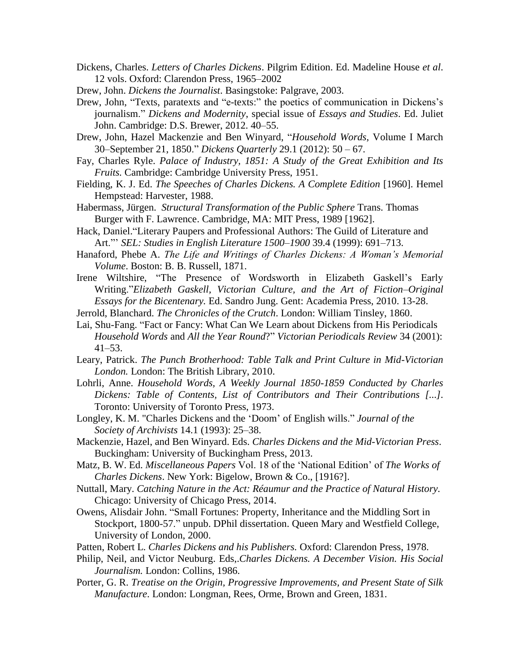- Dickens, Charles. *Letters of Charles Dickens*. Pilgrim Edition. Ed. Madeline House *et al*. 12 vols. Oxford: Clarendon Press, 1965–2002
- Drew, John. *Dickens the Journalist*. Basingstoke: Palgrave, 2003.
- Drew, John, "Texts, paratexts and "e-texts:" the poetics of communication in Dickens's journalism." *Dickens and Modernity*, special issue of *Essays and Studies*. Ed. Juliet John. Cambridge: D.S. Brewer, 2012. 40–55.
- Drew, John, Hazel Mackenzie and Ben Winyard, "*Household Words*, Volume I March 30–September 21, 1850." *Dickens Quarterly* 29.1 (2012): 50 – 67.
- Fay, Charles Ryle. *Palace of Industry, 1851: A Study of the Great Exhibition and Its Fruits.* Cambridge: Cambridge University Press, 1951.
- Fielding, K. J. Ed. *The Speeches of Charles Dickens. A Complete Edition* [1960]. Hemel Hempstead: Harvester, 1988.
- Habermass, Jürgen. *Structural Transformation of the Public Sphere* Trans. Thomas Burger with F. Lawrence. Cambridge, MA: MIT Press, 1989 [1962].
- Hack, Daniel."Literary Paupers and Professional Authors: The Guild of Literature and Art."' *SEL: Studies in English Literature 1500–1900* 39.4 (1999): 691–713.
- Hanaford, Phebe A. *The Life and Writings of Charles Dickens: A Woman's Memorial Volume*. Boston: B. B. Russell, 1871.
- Irene Wiltshire, "The Presence of Wordsworth in Elizabeth Gaskell's Early Writing."*Elizabeth Gaskell, Victorian Culture, and the Art of Fiction–Original Essays for the Bicentenary.* Ed. Sandro Jung. Gent: Academia Press, 2010. 13-28.
- Jerrold, Blanchard. *The Chronicles of the Crutch*. London: William Tinsley, 1860.
- Lai, Shu-Fang. "Fact or Fancy: What Can We Learn about Dickens from His Periodicals *Household Words* and *All the Year Round*?" *Victorian Periodicals Review* 34 (2001): 41–53.
- Leary, Patrick. *The Punch Brotherhood: Table Talk and Print Culture in Mid-Victorian London.* London: The British Library, 2010.
- Lohrli, Anne. *Household Words, A Weekly Journal 1850-1859 Conducted by Charles Dickens: Table of Contents, List of Contributors and Their Contributions [...].*  Toronto: University of Toronto Press, 1973.
- Longley, K. M. "Charles Dickens and the 'Doom' of English wills." *Journal of the Society of Archivists* 14.1 (1993): 25–38.
- Mackenzie, Hazel, and Ben Winyard. Eds. *Charles Dickens and the Mid-Victorian Press*. Buckingham: University of Buckingham Press, 2013.
- Matz, B. W. Ed. *Miscellaneous Papers* Vol. 18 of the 'National Edition' of *The Works of Charles Dickens*. New York: Bigelow, Brown & Co., [1916?].
- Nuttall, Mary. *Catching Nature in the Act: Réaumur and the Practice of Natural History.*  Chicago: University of Chicago Press, 2014.
- Owens, Alisdair John. "Small Fortunes: Property, Inheritance and the Middling Sort in Stockport, 1800-57." unpub. DPhil dissertation. Queen Mary and Westfield College, University of London, 2000.
- Patten, Robert L. *Charles Dickens and his Publishers.* Oxford: Clarendon Press, 1978.
- Philip, Neil, and Victor Neuburg. Eds,.*Charles Dickens. A December Vision. His Social Journalism.* London: Collins, 1986.
- Porter, G. R. *Treatise on the Origin, Progressive Improvements, and Present State of Silk Manufacture*. London: Longman, Rees, Orme, Brown and Green, 1831.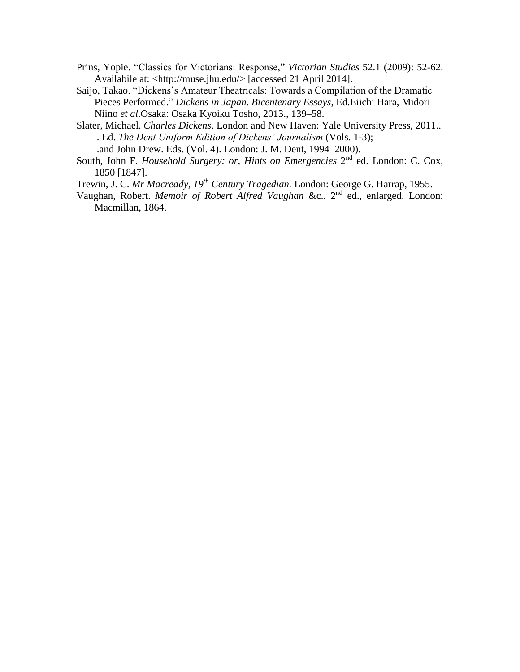- Prins, Yopie. "Classics for Victorians: Response," *Victorian Studies* 52.1 (2009): 52-62. Availabile at: <http://muse.jhu.edu/> [accessed 21 April 2014].
- Saijo, Takao. "Dickens's Amateur Theatricals: Towards a Compilation of the Dramatic Pieces Performed." *Dickens in Japan. Bicentenary Essays*, Ed.Eiichi Hara, Midori Niino *et al*.Osaka: Osaka Kyoiku Tosho, 2013., 139–58.

Slater, Michael. *Charles Dickens*. London and New Haven: Yale University Press, 2011.. ——. Ed. *The Dent Uniform Edition of Dickens' Journalism* (Vols. 1-3);

——.and John Drew. Eds. (Vol. 4). London: J. M. Dent, 1994–2000).

- South, John F. *Household Surgery: or, Hints on Emergencies* 2<sup>nd</sup> ed. London: C. Cox, 1850 [1847].
- Trewin, J. C. *Mr Macready, 19th Century Tragedian.* London: George G. Harrap, 1955.
- Vaughan, Robert. *Memoir of Robert Alfred Vaughan &c..* 2<sup>nd</sup> ed., enlarged. London: Macmillan, 1864.